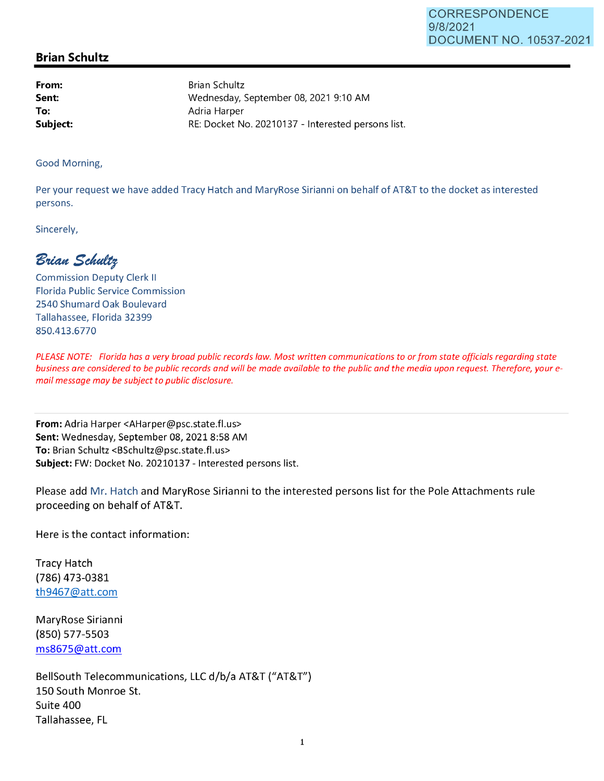## **Brian Schultz**

**From: Sent: To: Subject:**  Brian Schultz Wednesday, September 08, 2021 9:10 **AM**  Adria Harper RE: Docket No. 20210137 - Interested persons list.

Good Morning,

Per your request we have added Tracy Hatch and MaryRose Sirianni on behalf of AT&T to the docket as interested persons.

Sincerely,

 $B$ rian Schultz

Commission Deputy Clerk II Florida Public Service Commission 2540 Shumard Oak Boulevard Tallahassee, Florida 32399 850.413.6770

PLEASE NOTE: Florida has a very broad public records law. Most written communications to or from state officials regarding state business are considered to be public records and will be made available to the public and the media upon request. Therefore, your email message may be subject to public disclosure.

**From:** Adria Harper <AHarper@psc.state.fl.us> **Sent:** Wednesday, September 08, 20218:58 AM **To:** Brian Schultz <BSchultz@psc.state.fl.us> **Subject:** FW: Docket No. 20210137 - Interested persons list.

Please add Mr. Hatch and MaryRose Sirianni to the interested persons list for the Pole Attachments rule proceeding on behalf of AT&T.

Here is the contact information:

Tracy Hatch (786) 473-0381 th9467@att.com

MaryRose Sirianni (850) 577-5503 ms8675@att.com

BellSouth Telecommunications, LLC d/b/a AT&T ("AT&T") 150 South Monroe St. Suite 400 Tallahassee, FL